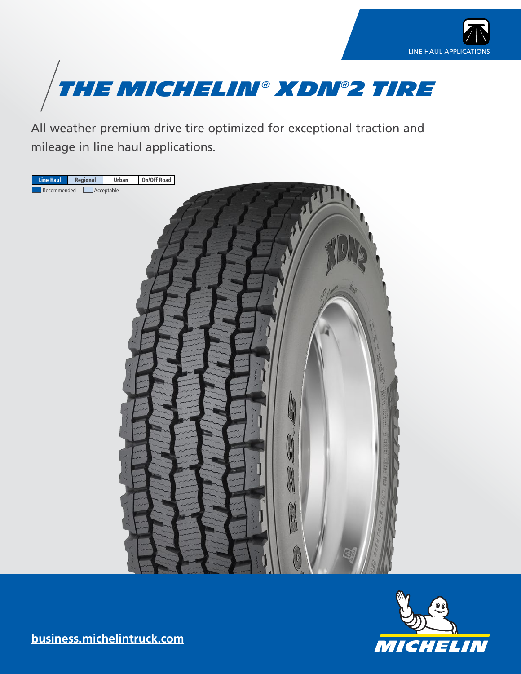



All weather premium drive tire optimized for exceptional traction and mileage in line haul applications.





**[business.michelintruck.com](http://business.michelintruck.com)**